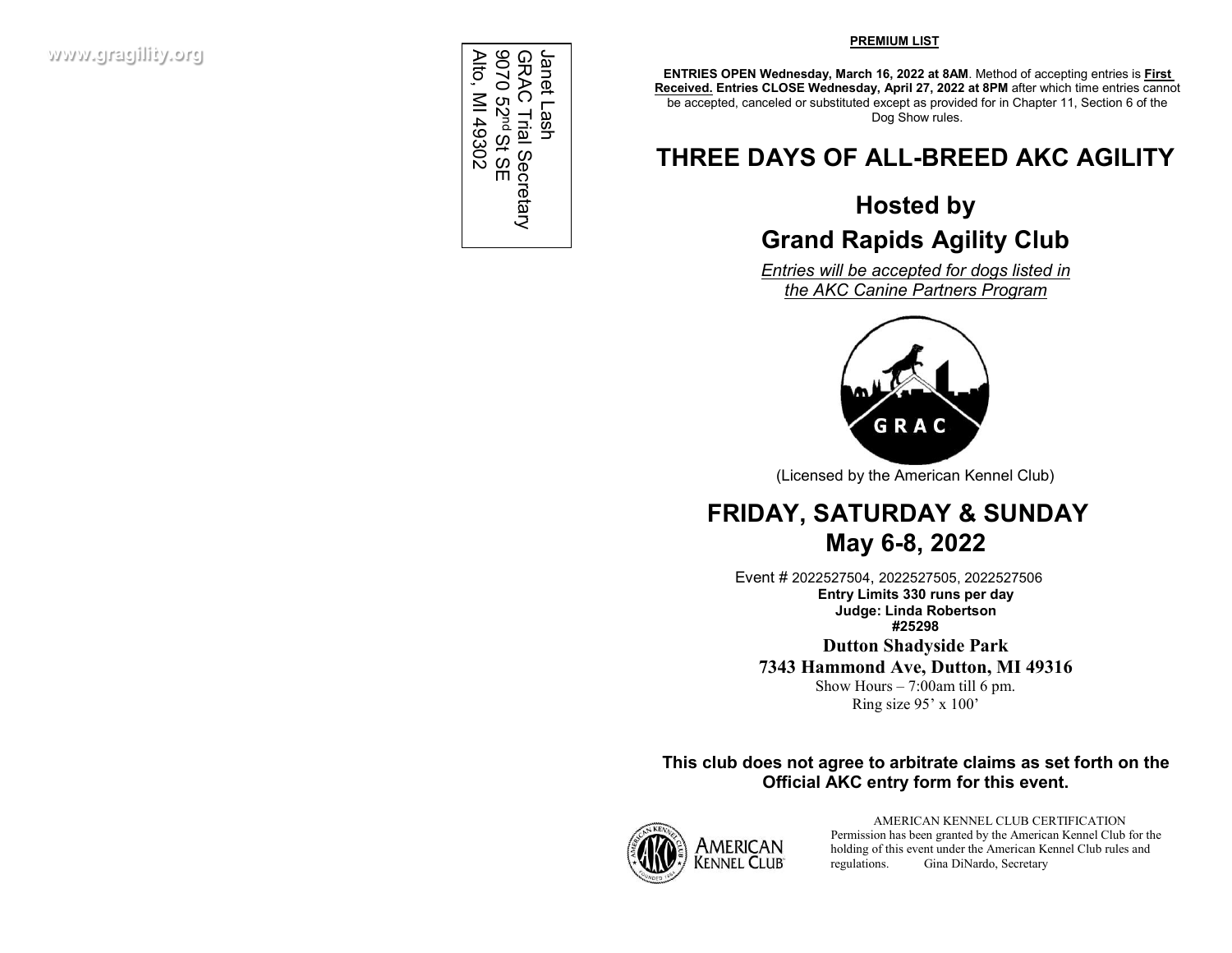Alto, MI 49302 Alto, MI 49302Janet Lash 9070 52 GRAC Trial Secretary Janet Lash nd St SE

#### **PREMIUM LIST**

**ENTRIES OPEN Wednesday, March 16, 2022 at 8AM**. Method of accepting entries is **First Received. Entries CLOSE Wednesday, April 27, 2022 at 8PM** after which time entries cannot be accepted, canceled or substituted except as provided for in Chapter 11, Section 6 of the Dog Show rules.

# **THREE DAYS OF ALL-BREED AKC AGILITY**

# **Hosted by Grand Rapids Agility Club**

*Entries will be accepted for dogs listed in the AKC Canine Partners Program*



(Licensed by the American Kennel Club)

## **FRIDAY, SATURDAY & SUNDAY May 6-8, 2022**

Event # 2022527504, 2022527505, 2022527506 **Entry Limits 330 runs per day Judge: Linda Robertson #25298**

**Dutton Shadyside Park 7343 Hammond Ave, Dutton, MI 49316** 

Show Hours  $-7:00$ am till 6 pm. Ring size 95' x 100'

## **This club does not agree to arbitrate claims as set forth on the Official AKC entry form for this event.**



AMERICAN KENNEL CLUB CERTIFICATION Permission has been granted by the American Kennel Club for the holding of this event under the American Kennel Club rules and regulations. Gina DiNardo, Secretary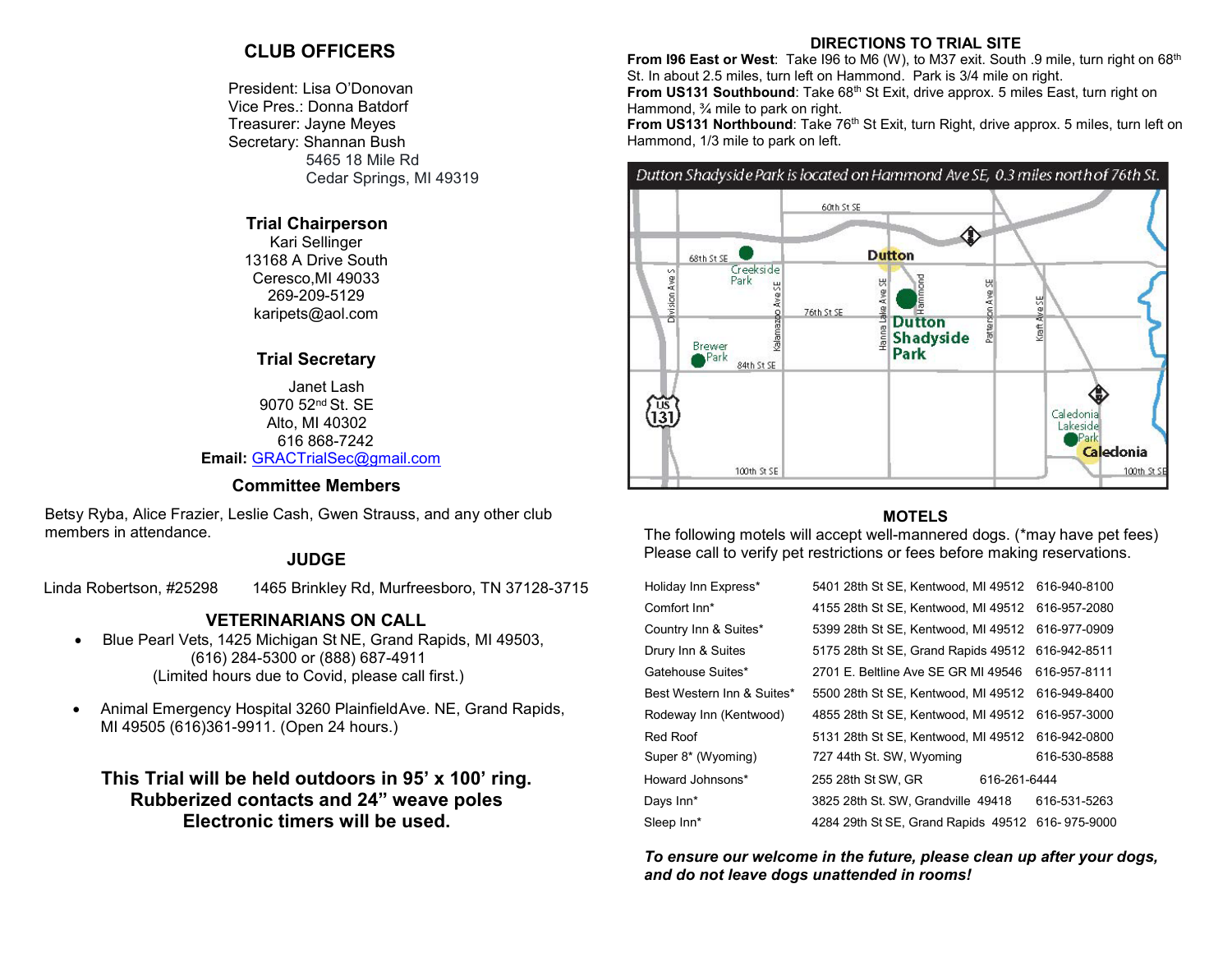## **CLUB OFFICERS**

President: Lisa O'Donovan Vice Pres.: Donna Batdorf Treasurer: Jayne Meyes Secretary: Shannan Bush 5465 18 Mile Rd Cedar Springs, MI 49319

#### **Trial Chairperson**

Kari Sellinger 13168 A Drive South Ceresco,MI 49033 269-209-5129 karipets@aol.com

#### **Trial Secretary**

Janet Lash 9070 52nd St. SE Alto, MI 40302 616 868-7242 **Email:** [GRACTrialSec@gmail.com](mailto:GRACTrialSec@gmail.com)

#### **Committee Members**

Betsy Ryba, Alice Frazier, Leslie Cash, Gwen Strauss, and any other club members in attendance.

## **JUDGE**

Linda Robertson, #25298 1465 Brinkley Rd, Murfreesboro, TN 37128-3715

## **VETERINARIANS ON CALL**

- Blue Pearl Vets, 1425 Michigan St NE, Grand Rapids, MI 49503, (616) 284-5300 or (888) 687-4911 (Limited hours due to Covid, please call first.)
- Animal Emergency Hospital 3260 PlainfieldAve. NE, Grand Rapids, MI 49505 (616)361-9911. (Open 24 hours.)

## **This Trial will be held outdoors in 95' x 100' ring. Rubberized contacts and 24" weave poles Electronic timers will be used.**

#### **DIRECTIONS TO TRIAL SITE**

**From I96 East or West**: Take I96 to M6 (W), to M37 exit. South .9 mile, turn right on 68<sup>th</sup> St. In about 2.5 miles, turn left on Hammond. Park is 3/4 mile on right. **From US131 Southbound:** Take 68<sup>th</sup> St Exit, drive approx. 5 miles East, turn right on Hammond, 3/4 mile to park on right.

**From US131 Northbound:** Take 76<sup>th</sup> St Exit, turn Right, drive approx. 5 miles, turn left on Hammond, 1/3 mile to park on left.

## Dutton Shadyside Park is located on Hammond Ave SE, 0.3 miles north of 76th St.



### **MOTELS**

The following motels will accept well-mannered dogs. (\*may have pet fees) Please call to verify pet restrictions or fees before making reservations.

| Holiday Inn Express*       | 5401 28th St SE, Kentwood, MI 49512              |              | 616-940-8100 |
|----------------------------|--------------------------------------------------|--------------|--------------|
| Comfort Inn*               | 4155 28th St SE, Kentwood, MI 49512              |              | 616-957-2080 |
| Country Inn & Suites*      | 5399 28th St SE, Kentwood, MI 49512              |              | 616-977-0909 |
| Drury Inn & Suites         | 5175 28th St SE, Grand Rapids 49512              |              | 616-942-8511 |
| Gatehouse Suites*          | 2701 E. Beltline Ave SE GR MI 49546              |              | 616-957-8111 |
| Best Western Inn & Suites* | 5500 28th St SE, Kentwood, MI 49512              |              | 616-949-8400 |
| Rodeway Inn (Kentwood)     | 4855 28th St SE, Kentwood, MI 49512              |              | 616-957-3000 |
| Red Roof                   | 5131 28th St SE, Kentwood, MI 49512              |              | 616-942-0800 |
| Super 8* (Wyoming)         | 727 44th St. SW, Wyoming                         |              | 616-530-8588 |
| Howard Johnsons*           | 255 28th St SW, GR                               | 616-261-6444 |              |
| Days Inn*                  | 3825 28th St. SW, Grandville 49418               |              | 616-531-5263 |
| Sleep Inn*                 | 4284 29th St SE, Grand Rapids 49512 616-975-9000 |              |              |
|                            |                                                  |              |              |

*To ensure our welcome in the future, please clean up after your dogs, and do not leave dogs unattended in rooms!*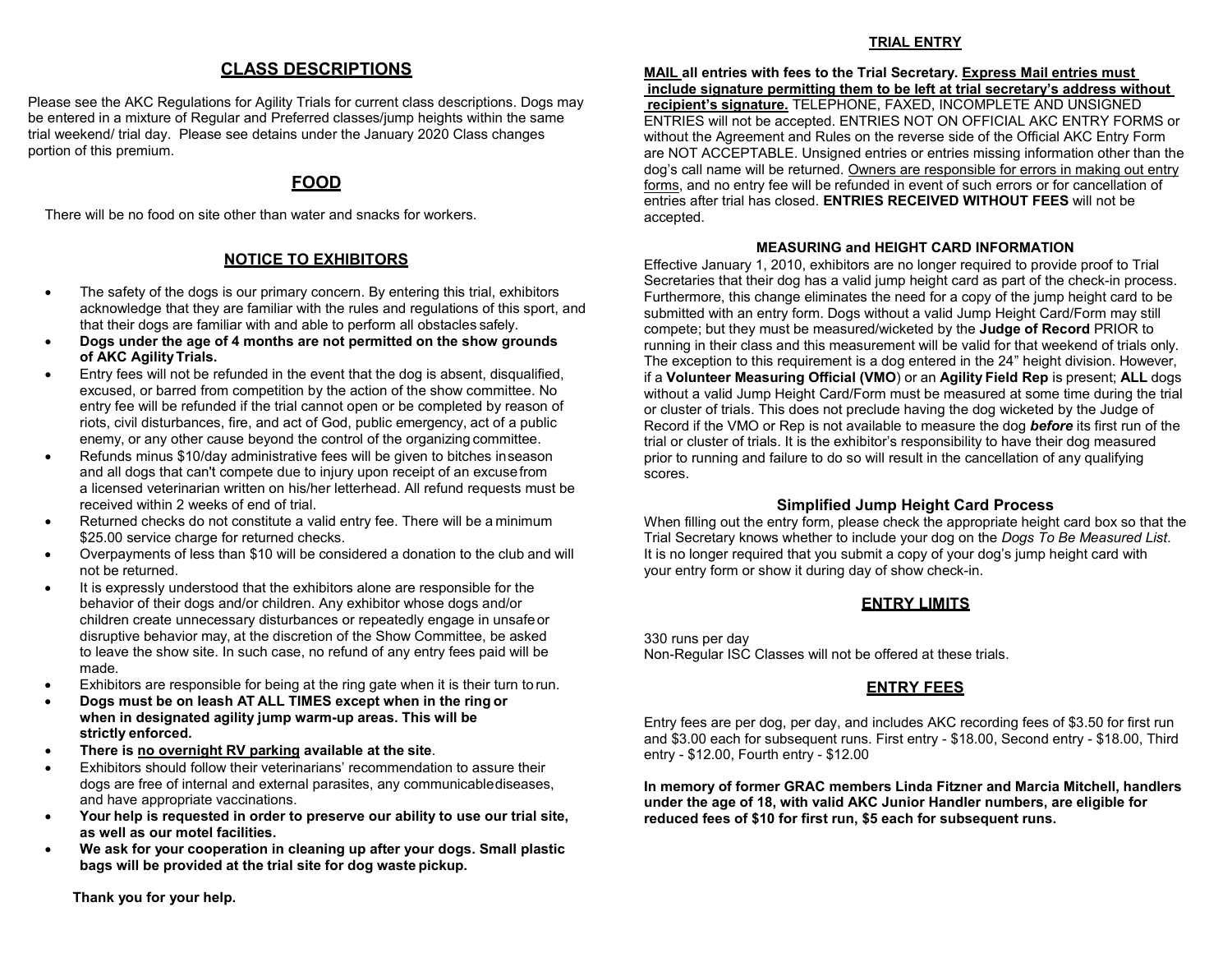## **CLASS DESCRIPTIONS**

Please see the AKC Regulations for Agility Trials for current class descriptions. Dogs may be entered in a mixture of Regular and Preferred classes/jump heights within the same trial weekend/ trial day. Please see detains under the January 2020 Class changes portion of this premium.

## **FOOD**

There will be no food on site other than water and snacks for workers.

## **NOTICE TO EXHIBITORS**

- The safety of the dogs is our primary concern. By entering this trial, exhibitors acknowledge that they are familiar with the rules and regulations of this sport, and that their dogs are familiar with and able to perform all obstacles safely.
- **Dogs under the age of 4 months are not permitted on the show grounds of AKC AgilityTrials.**
- Entry fees will not be refunded in the event that the dog is absent, disqualified, excused, or barred from competition by the action of the show committee. No entry fee will be refunded if the trial cannot open or be completed by reason of riots, civil disturbances, fire, and act of God, public emergency, act of a public enemy, or any other cause beyond the control of the organizing committee.
- Refunds minus \$10/day administrative fees will be given to bitches inseason and all dogs that can't compete due to injury upon receipt of an excusefrom a licensed veterinarian written on his/her letterhead. All refund requests must be received within 2 weeks of end of trial.
- Returned checks do not constitute a valid entry fee. There will be a minimum \$25.00 service charge for returned checks.
- Overpayments of less than \$10 will be considered a donation to the club and will not be returned.
- It is expressly understood that the exhibitors alone are responsible for the behavior of their dogs and/or children. Any exhibitor whose dogs and/or children create unnecessary disturbances or repeatedly engage in unsafe or disruptive behavior may, at the discretion of the Show Committee, be asked to leave the show site. In such case, no refund of any entry fees paid will be made.
- Exhibitors are responsible for being at the ring gate when it is their turn to run.
- **Dogs must be on leash AT ALL TIMES except when in the ring or when in designated agility jump warm-up areas. This will be strictly enforced.**
- **There is no overnight RV parking available at the site**.
- Exhibitors should follow their veterinarians' recommendation to assure their dogs are free of internal and external parasites, any communicablediseases, and have appropriate vaccinations.
- **Your help is requested in order to preserve our ability to use our trial site, as well as our motel facilities.**
- **We ask for your cooperation in cleaning up after your dogs. Small plastic bags will be provided at the trial site for dog waste pickup.**

**Thank you for your help.**

### **TRIAL ENTRY**

**MAIL all entries with fees to the Trial Secretary. Express Mail entries must include signature permitting them to be left at trial secretary's address without recipient's signature.** TELEPHONE, FAXED, INCOMPLETE AND UNSIGNED ENTRIES will not be accepted. ENTRIES NOT ON OFFICIAL AKC ENTRY FORMS or without the Agreement and Rules on the reverse side of the Official AKC Entry Form are NOT ACCEPTABLE. Unsigned entries or entries missing information other than the dog's call name will be returned. Owners are responsible for errors in making out entry forms, and no entry fee will be refunded in event of such errors or for cancellation of entries after trial has closed. **ENTRIES RECEIVED WITHOUT FEES** will not be accepted.

## **MEASURING and HEIGHT CARD INFORMATION**

Effective January 1, 2010, exhibitors are no longer required to provide proof to Trial Secretaries that their dog has a valid jump height card as part of the check-in process. Furthermore, this change eliminates the need for a copy of the jump height card to be submitted with an entry form. Dogs without a valid Jump Height Card/Form may still compete; but they must be measured/wicketed by the **Judge of Record** PRIOR to running in their class and this measurement will be valid for that weekend of trials only. The exception to this requirement is a dog entered in the 24" height division. However, if a **Volunteer Measuring Official (VMO**) or an **Agility Field Rep** is present; **ALL** dogs without a valid Jump Height Card/Form must be measured at some time during the trial or cluster of trials. This does not preclude having the dog wicketed by the Judge of Record if the VMO or Rep is not available to measure the dog *before* its first run of the trial or cluster of trials. It is the exhibitor's responsibility to have their dog measured prior to running and failure to do so will result in the cancellation of any qualifying scores.

## **Simplified Jump Height Card Process**

When filling out the entry form, please check the appropriate height card box so that the Trial Secretary knows whether to include your dog on the *Dogs To Be Measured List*. It is no longer required that you submit a copy of your dog's jump height card with your entry form or show it during day of show check-in.

## **ENTRY LIMITS**

330 runs per day Non-Regular ISC Classes will not be offered at these trials.

## **ENTRY FEES**

Entry fees are per dog, per day, and includes AKC recording fees of \$3.50 for first run and \$3.00 each for subsequent runs. First entry - \$18.00, Second entry - \$18.00, Third entry - \$12.00, Fourth entry - \$12.00

**In memory of former GRAC members Linda Fitzner and Marcia Mitchell, handlers under the age of 18, with valid AKC Junior Handler numbers, are eligible for reduced fees of \$10 for first run, \$5 each for subsequent runs.**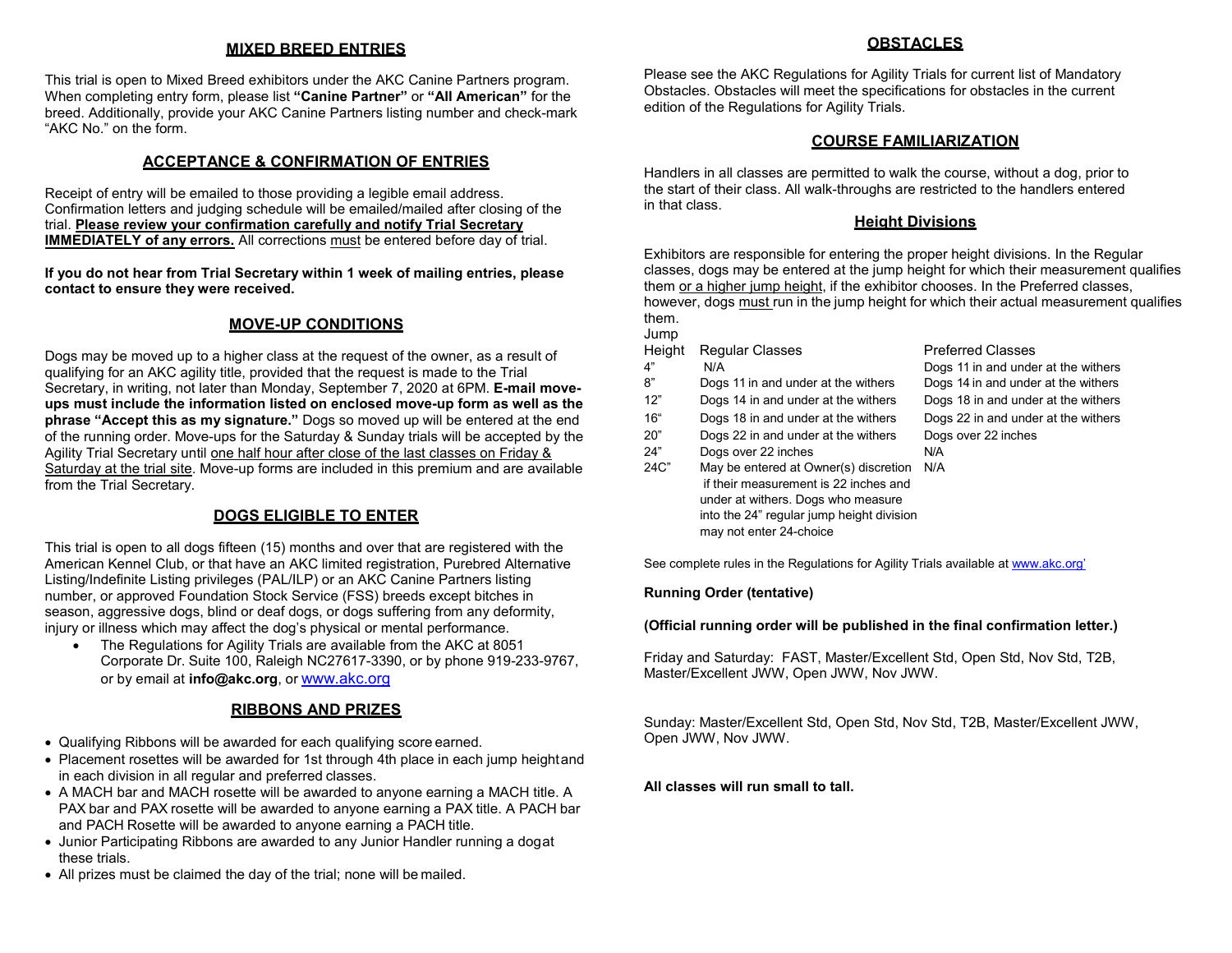#### **MIXED BREED ENTRIES**

This trial is open to Mixed Breed exhibitors under the AKC Canine Partners program. When completing entry form, please list **"Canine Partner"** or **"All American"** for the breed. Additionally, provide your AKC Canine Partners listing number and check-mark "AKC No." on the form.

#### **ACCEPTANCE & CONFIRMATION OF ENTRIES**

Receipt of entry will be emailed to those providing a legible email address. Confirmation letters and judging schedule will be emailed/mailed after closing of the trial. **Please review your confirmation carefully and notify Trial Secretary IMMEDIATELY of any errors.** All corrections must be entered before day of trial.

**If you do not hear from Trial Secretary within 1 week of mailing entries, please contact to ensure they were received.**

#### **MOVE-UP CONDITIONS**

Dogs may be moved up to a higher class at the request of the owner, as a result of qualifying for an AKC agility title, provided that the request is made to the Trial Secretary, in writing, not later than Monday, September 7, 2020 at 6PM. **E-mail moveups must include the information listed on enclosed move-up form as well as the phrase "Accept this as my signature."** Dogs so moved up will be entered at the end of the running order. Move-ups for the Saturday & Sunday trials will be accepted by the Agility Trial Secretary until one half hour after close of the last classes on Friday & Saturday at the trial site. Move-up forms are included in this premium and are available from the Trial Secretary.

#### **DOGS ELIGIBLE TO ENTER**

This trial is open to all dogs fifteen (15) months and over that are registered with the American Kennel Club, or that have an AKC limited registration, Purebred Alternative Listing/Indefinite Listing privileges (PAL/ILP) or an AKC Canine Partners listing number, or approved Foundation Stock Service (FSS) breeds except bitches in season, aggressive dogs, blind or deaf dogs, or dogs suffering from any deformity, injury or illness which may affect the dog's physical or mental performance.

• The Regulations for Agility Trials are available from the AKC at 8051 Corporate Dr. Suite 100, Raleigh NC27617-3390, or by phone 919-233-9767, or by email at **[info@akc.org](mailto:info@akc.org)**, or [www.akc.org](http://www.akc.org/)

#### **RIBBONS AND PRIZES**

- Qualifying Ribbons will be awarded for each qualifying score earned.
- Placement rosettes will be awarded for 1st through 4th place in each jump heightand in each division in all regular and preferred classes.
- A MACH bar and MACH rosette will be awarded to anyone earning a MACH title. A PAX bar and PAX rosette will be awarded to anyone earning a PAX title. A PACH bar and PACH Rosette will be awarded to anyone earning a PACH title.
- Junior Participating Ribbons are awarded to any Junior Handler running a dogat these trials.
- All prizes must be claimed the day of the trial; none will be mailed.

#### **OBSTACLES**

Please see the AKC Regulations for Agility Trials for current list of Mandatory Obstacles. Obstacles will meet the specifications for obstacles in the current edition of the Regulations for Agility Trials.

#### **COURSE FAMILIARIZATION**

Handlers in all classes are permitted to walk the course, without a dog, prior to the start of their class. All walk-throughs are restricted to the handlers entered in that class.

#### **Height Divisions**

Exhibitors are responsible for entering the proper height divisions. In the Regular classes, dogs may be entered at the jump height for which their measurement qualifies them or a higher jump height, if the exhibitor chooses. In the Preferred classes, however, dogs must run in the jump height for which their actual measurement qualifies them.

Jump Height Regular Classes Preferred Classes 4" N/A Dogs 11 in and under at the withers 8" Dogs 11 in and under at the withers Dogs 14 in and under at the withers 12" Dogs 14 in and under at the withers Dogs 18 in and under at the withers 16" Dogs 18 in and under at the withers Dogs 22 in and under at the withers 20" Dogs 22 in and under at the withers Dogs over 22 inches 24" Dogs over 22 inches N/A 24C" May be entered at Owner(s) discretion N/A if their measurement is 22 inches and under at withers. Dogs who measure into the 24" regular jump height division may not enter 24-choice

See complete rules in the Regulations for Agility Trials available a[t www.akc.org'](http://www.akc.org/)

#### **Running Order (tentative)**

#### **(Official running order will be published in the final confirmation letter.)**

Friday and Saturday: FAST, Master/Excellent Std, Open Std, Nov Std, T2B, Master/Excellent JWW, Open JWW, Nov JWW.

Sunday: Master/Excellent Std, Open Std, Nov Std, T2B, Master/Excellent JWW, Open JWW, Nov JWW.

#### **All classes will run small to tall.**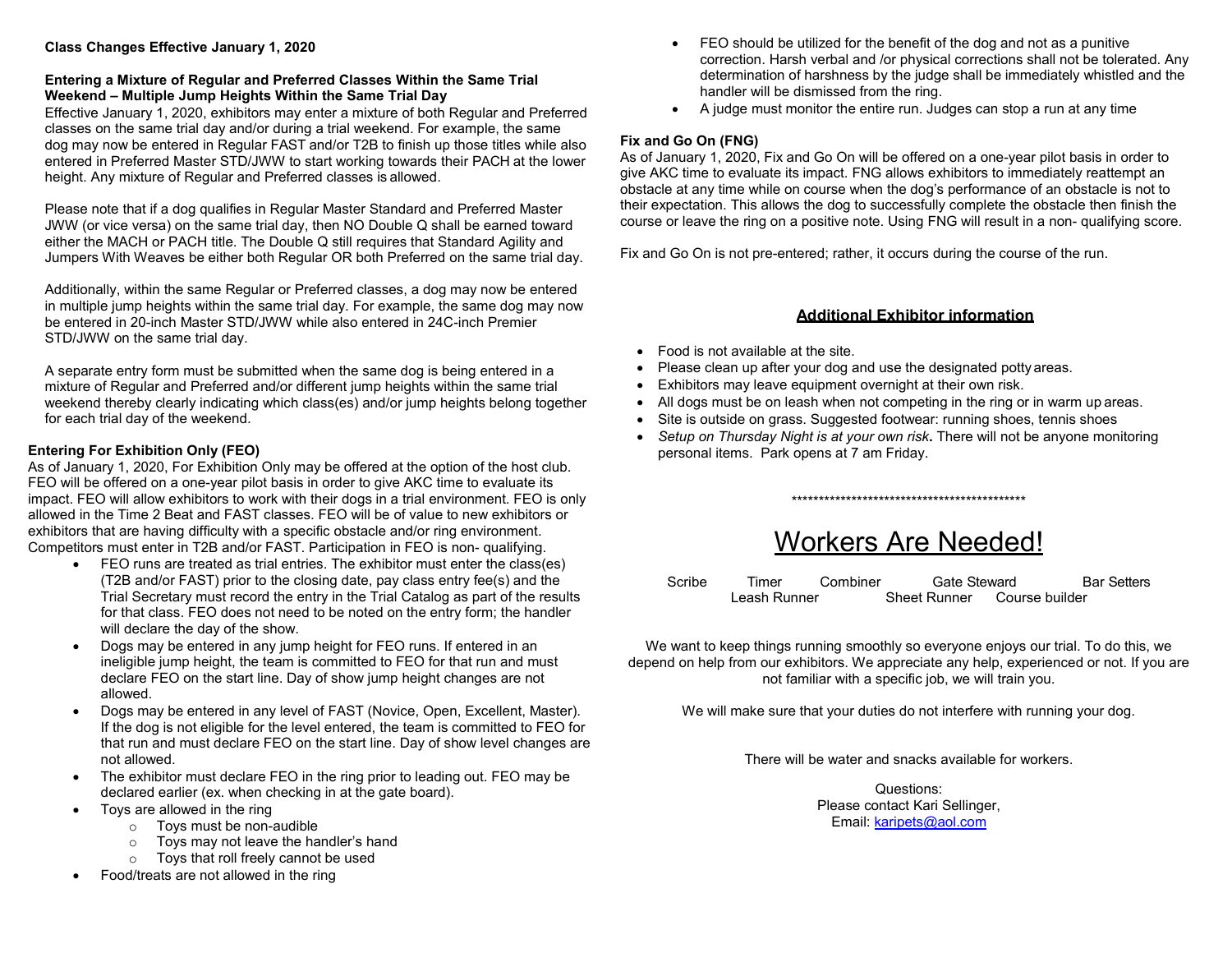#### **Class Changes Effective January 1, 2020**

#### **Entering a Mixture of Regular and Preferred Classes Within the Same Trial Weekend – Multiple Jump Heights Within the Same Trial Day**

Effective January 1, 2020, exhibitors may enter a mixture of both Regular and Preferred classes on the same trial day and/or during a trial weekend. For example, the same dog may now be entered in Regular FAST and/or T2B to finish up those titles while also entered in Preferred Master STD/JWW to start working towards their PACH at the lower height. Any mixture of Regular and Preferred classes is allowed.

Please note that if a dog qualifies in Regular Master Standard and Preferred Master JWW (or vice versa) on the same trial day, then NO Double Q shall be earned toward either the MACH or PACH title. The Double Q still requires that Standard Agility and Jumpers With Weaves be either both Regular OR both Preferred on the same trial day.

Additionally, within the same Regular or Preferred classes, a dog may now be entered in multiple jump heights within the same trial day. For example, the same dog may now be entered in 20-inch Master STD/JWW while also entered in 24C-inch Premier STD/JWW on the same trial day.

A separate entry form must be submitted when the same dog is being entered in a mixture of Regular and Preferred and/or different jump heights within the same trial weekend thereby clearly indicating which class(es) and/or jump heights belong together for each trial day of the weekend.

#### **Entering For Exhibition Only (FEO)**

As of January 1, 2020, For Exhibition Only may be offered at the option of the host club. FEO will be offered on a one-year pilot basis in order to give AKC time to evaluate its impact. FEO will allow exhibitors to work with their dogs in a trial environment. FEO is only allowed in the Time 2 Beat and FAST classes. FEO will be of value to new exhibitors or exhibitors that are having difficulty with a specific obstacle and/or ring environment. Competitors must enter in T2B and/or FAST. Participation in FEO is non- qualifying.

- FEO runs are treated as trial entries. The exhibitor must enter the class(es) (T2B and/or FAST) prior to the closing date, pay class entry fee(s) and the Trial Secretary must record the entry in the Trial Catalog as part of the results for that class. FEO does not need to be noted on the entry form; the handler will declare the day of the show.
- Dogs may be entered in any jump height for FEO runs. If entered in an ineligible jump height, the team is committed to FEO for that run and must declare FEO on the start line. Day of show jump height changes are not allowed.
- Dogs may be entered in any level of FAST (Novice, Open, Excellent, Master). If the dog is not eligible for the level entered, the team is committed to FEO for that run and must declare FEO on the start line. Day of show level changes are not allowed.
- The exhibitor must declare FEO in the ring prior to leading out. FEO may be declared earlier (ex. when checking in at the gate board).
- Toys are allowed in the ring
	- o Toys must be non-audible
	- o Toys may not leave the handler's hand
	- o Toys that roll freely cannot be used
- Food/treats are not allowed in the ring
- FEO should be utilized for the benefit of the dog and not as a punitive correction. Harsh verbal and /or physical corrections shall not be tolerated. Any determination of harshness by the judge shall be immediately whistled and the handler will be dismissed from the ring.
- A judge must monitor the entire run. Judges can stop a run at any time

### **Fix and Go On (FNG)**

As of January 1, 2020, Fix and Go On will be offered on a one-year pilot basis in order to give AKC time to evaluate its impact. FNG allows exhibitors to immediately reattempt an obstacle at any time while on course when the dog's performance of an obstacle is not to their expectation. This allows the dog to successfully complete the obstacle then finish the course or leave the ring on a positive note. Using FNG will result in a non- qualifying score.

Fix and Go On is not pre-entered; rather, it occurs during the course of the run.

#### **Additional Exhibitor information**

- Food is not available at the site.
- Please clean up after your dog and use the designated potty areas.
- Exhibitors may leave equipment overnight at their own risk.
- All dogs must be on leash when not competing in the ring or in warm up areas.
- Site is outside on grass. Suggested footwear: running shoes, tennis shoes
- *Setup on Thursday Night is at your own risk***.** There will not be anyone monitoring personal items. Park opens at 7 am Friday.

\*\*\*\*\*\*\*\*\*\*\*\*\*\*\*\*\*\*\*\*\*\*\*\*\*\*\*\*\*\*\*\*\*\*\*\*\*\*\*\*\*\*\*

# Workers Are Needed!

| Scribe | Timer        | Combiner | Gate Steward        |                | <b>Bar Setters</b> |
|--------|--------------|----------|---------------------|----------------|--------------------|
|        | Leash Runner |          | <b>Sheet Runner</b> | Course builder |                    |

We want to keep things running smoothly so everyone enjoys our trial. To do this, we depend on help from our exhibitors. We appreciate any help, experienced or not. If you are not familiar with a specific job, we will train you.

We will make sure that your duties do not interfere with running your dog.

There will be water and snacks available for workers.

Questions: Please contact Kari Sellinger, Email: [karipets@aol.com](mailto:karipets@aol.com)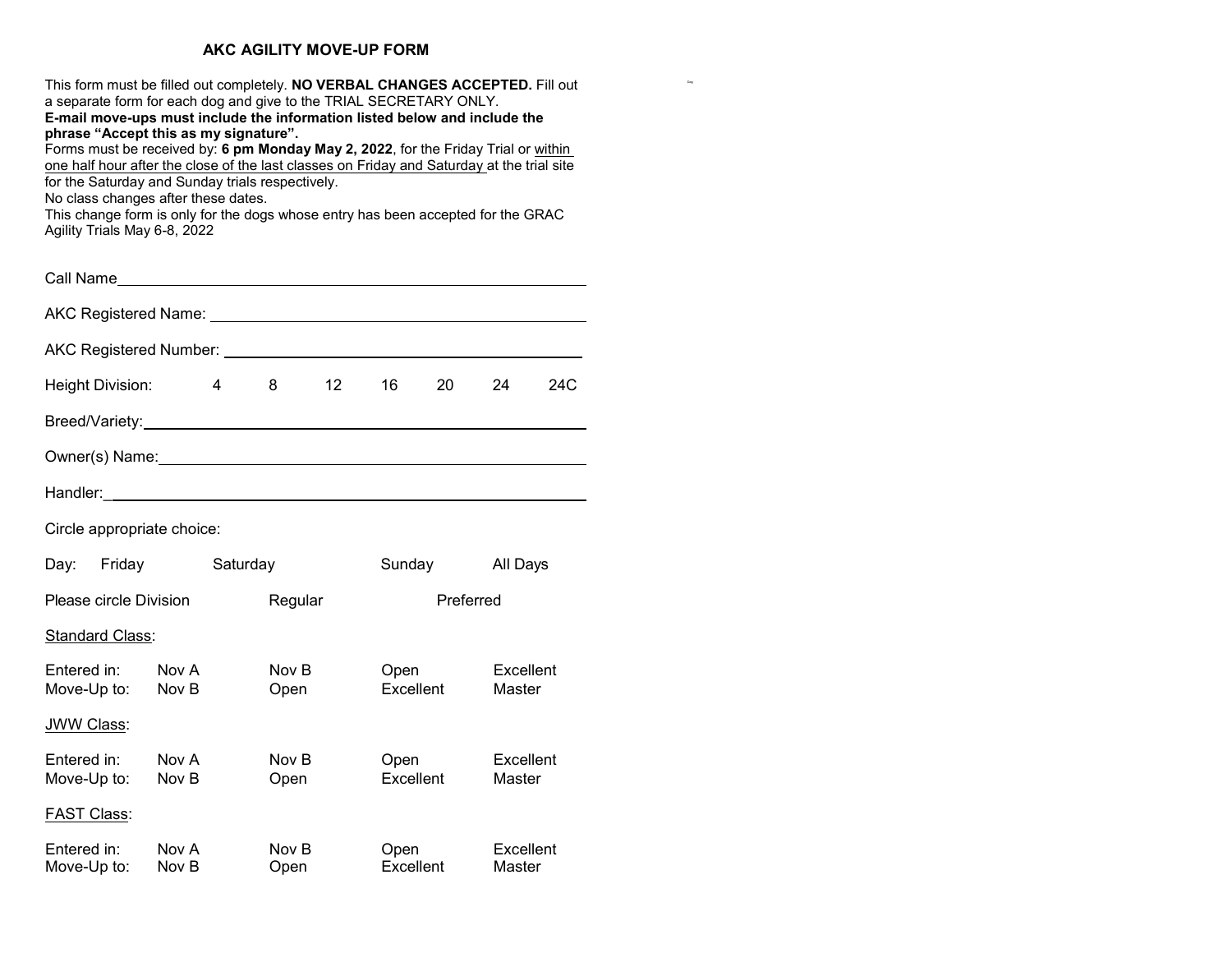#### **AKC AGILITY MOVE-UP FORM**

This form must be filled out completely. **NO VERBAL CHANGES ACCEPTED.** Fill out a separate form for each dog and give to the TRIAL SECRETARY ONLY.

Dag

**E-mail move-ups must include the information listed below and include the phrase "Accept this as my signature".**

Forms must be received by: **6 pm Monday May 2, 2022**, for the Friday Trial or within one half hour after the close of the last classes on Friday and Saturday at the trial site for the Saturday and Sunday trials respectively.

No class changes after these dates.

This change form is only for the dogs whose entry has been accepted for the GRAC Agility Trials May 6-8, 2022

| Height Division:                               |                | 4        | 8             | 12 <sup>2</sup> | 16                | 20     | 24                  | 24C |
|------------------------------------------------|----------------|----------|---------------|-----------------|-------------------|--------|---------------------|-----|
|                                                |                |          |               |                 |                   |        |                     |     |
|                                                |                |          |               |                 |                   |        |                     |     |
|                                                |                |          |               |                 |                   |        |                     |     |
| Circle appropriate choice:                     |                |          |               |                 |                   |        |                     |     |
| Day:                                           | Friday         | Saturday |               |                 |                   | Sunday | All Days            |     |
| Please circle Division<br>Preferred<br>Regular |                |          |               |                 |                   |        |                     |     |
| <b>Standard Class:</b>                         |                |          |               |                 |                   |        |                     |     |
|                                                |                |          |               |                 |                   |        |                     |     |
| Entered in: Nov A<br>Move-Up to: Nov B         |                |          | Nov B<br>Open |                 | Open<br>Excellent |        | Excellent<br>Master |     |
| JWW Class:                                     |                |          |               |                 |                   |        |                     |     |
| Entered in:<br>Move-Up to:                     | Nov A<br>Nov B |          | Nov B<br>Open |                 | Open<br>Excellent |        | Excellent<br>Master |     |
| <b>FAST Class:</b>                             |                |          |               |                 |                   |        |                     |     |